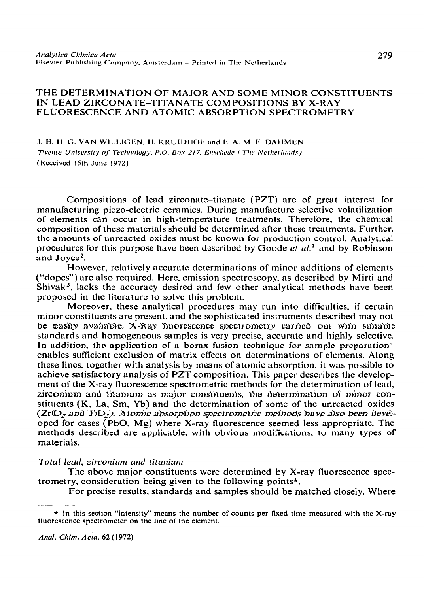# THE DETERMINATION OF MAJOR AND SOME MINOR CONSTITUENTS IN LEAD ZIRCONATE-TITANATE COMPOSITIONS BY X-RAY FLUORESCENCE AND ATOMIC ABSORPTION SPECTROMETRY

J. H. H. G. VAN WILLIGEN. H. KRUIDHOF and E. A. **M. F. DAHMEN**  *Twente University of Technology, P.O. Box 217, Enschede (The Netherlands)* (Received 15th June 1972)

Compositions of lead zirconate-titanate (PZT) are of great interest for manufacturing piezo-electric ceramics. During manufacture selective volatilization of elements can occur in high-temperature treatments. Therefore. the chemical composition of these materials should be determined after these treatments. Further, the amounts of unreacted oxides must be known for production control. Analytical procedures for this purpose have been described by Goode  $et al.<sup>1</sup>$  and by Robinson and Joyce'.

However, relatively accurate determinations of minor additions of elements ("dopes") are also required. Here, emission spectroscopy, as described by Mirti and Shivak<sup>3</sup>, lacks the accuracy desired and few other analytical methods have been proposed in the literature to solve this problem.

Moreover, these analytical procedures may run into difficulties, if certain minor constituents are present, and the sophisticated instruments described may not be casily available. X-Ray *îluorescence spectrometry carried* oul with suitable standards and homogeneous samples is very precise, accurate and highly selective. In addition, the application of a borax fusion technique for sample preparation<sup>4</sup> enables sufficient exclusion of matrix effects on determinations of elements. Along these lines, together with analysis by means of atomic absorption, it was possible to achieve satisfactory analysis of PZT composition. This paper describes the development of the X-ray fluorescence spectrometric methods for the determination of lead, zirconium and iitanium as major constituents, the determination of minor constituents (K, La, Sm, Yb) and the determination of some of the unreacted oxides  $(Zr\mathbb{O}_2)$  and  $Ti\mathbb{O}_2$ ). Atomic absorption spectrometric methods have also been developed for cases (PbO, Mg) where X-ray fluorescence seemed less appropriate. The methods described are applicable, with obvious modifications, to many types of materials.

# *Total lead, zirconium und titmiunt*

The above major constituents were determined by X-ray fluorescence spectrometry, consideration being given to the following points\*.

For precise results, standards and samples should be matched closely. Where

<sup>\*</sup> In this section "intensity" means the number of counts per fixed time measured with the X-ray fluorescence spectrometer on the line of the element.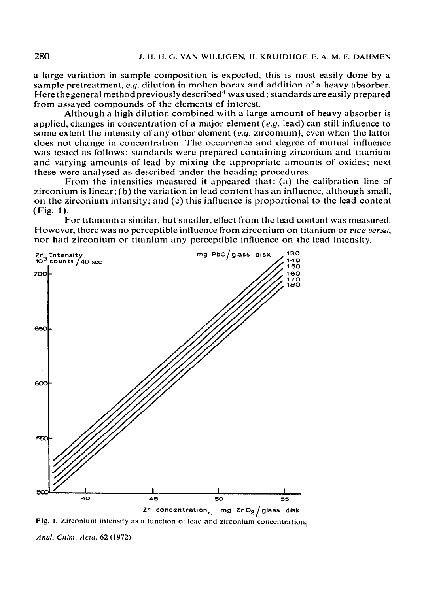a large variation in sample composition is expected, this is most easily done by a sample pretreatment, e.g. dilution in molten borax and addition of a heavy absorber. Here thegeneral method **previously described4** was used ; standards are easily prepared from assayed compounds of the elements of interest.

Although a high dilution combined with a large amount of heavy absorber is applied, changes in concentration of a major element (e.g. lead) can still influence to some extent the intensity of any other element  $(e.g.$  zirconium), even when the latter does not change in concentration. The occurrence and degree of mutual influence was tcstcd as follows: standards were prepared containing zirconium and titanium and varying amounts of lcad by mixing the appropriate amounts of oxides; next these were analyscd as described under the heading procedures.

From the intensities measured it appeared that: (a) the calibration line of zirconium is linear;(b) the variation in lead content has an influence, although small, on the zirconium intensity; and (c) this influence is proportional to the lead conter ( Fig. 1).

For titanium a similar, but smaller, effect from the lead content was measured. However, there was no perceptible influence from zirconium on titanium or *vice versa*, nor **had** zirconium or titanium any perceptible influence on the lead intensity.



Fig. 1. Zirconium intensity as a function of lead and zirconium concentration,

Anal. Chim. Acta, 62 (1972)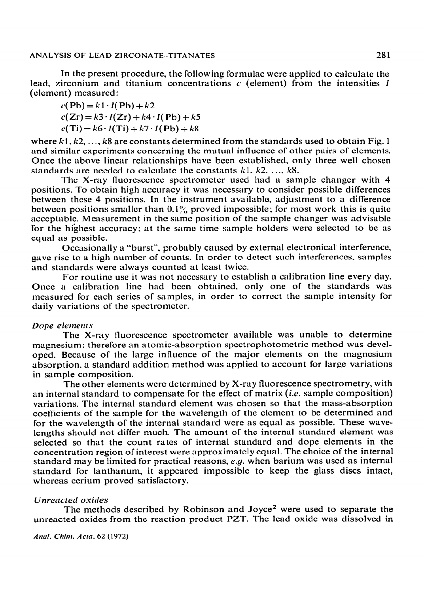In the present procedure, the following formulae were applied to calculate the lead, zirconium and titanium concentrations  $c$  (element) from the intensities I (element) measured:

 $c(Pb)=k1 \cdot I(Pb)+k2$  $c(Zr) = k3 \cdot I(Zr) + k4 \cdot I(Pb) + k5$  $c(Ti) = k6 \cdot I(Ti) + k7 \cdot I(Pb) + k8$ 

where  $k1, k2, ..., k8$  are constants determined from the standards used to obtain Fig. 1 and similar experiments concerning the mutual influence of other pairs of elements. Once the above linear relationships have been established, only three well chosen standards are needed to calculate the constants  $k_1, k_2, \ldots, k_8$ .

The X-ray fluorescence spectrometer used had a sample changer with 4 positions. To obtain high accuracy it was necessary to consider possible differences between these 4 positions. In the instrument available, adjustment to a difference between positions smaller than  $0.1\%$  proved impossible; for most work this is quite acceptable. Measurement in the same position of the sample changer was advisable for the highest accuracy; at the same time sample holders were selected to be as equal as possible.

Occasionally a "burst". probably caused by external electronical interference, gave rise to a high number of counts. In order to detect such interferences. samples and standards were always counted at least twice.

For routine use it was not necessary to establish a calibration line every day. Once a calibration line had been obtained. only one of the standards was measured for each series of samples, in order to correct the sample intensity for daily variations of the spectrometer.

## **Dope** elements

The X-ray fluorescence spectrometer available was unable to determine magnesium; therefore an atomic-absorption spectrophotometric method was developed. Because of the large influence of the major elements on the magnesium absorption, a standard addition method was applied to account for large variations in sample composition.

The other elements were determined by X-ray fluorescence spectrometry, with an internal standard to compensate for the effect of matrix *(i.e.* sample composition) variations. The internal standard clement was chosen so that the mass-absorption coefficients of the sample for the wavelength of the element to be determined and for the wavelength of the internal standard were as equal as possible. These wavelengths should not differ much, The amount of the internal standard element was selected so that the count rates of internal standard and dope elements in the concentration region of interest were approximately equal. The choice of the internal standard may be limited for practical 'reasons, e.g. when barium was used as internal standard for lanthanum, it appeared impossible to keep the glass discs intact, whereas cerium proved satisfactory.

#### **Unreacted oxides**

The methods described by Robinson and Joyce<sup>2</sup> were used to separate the unreacted oxides from the reaction product PZT. The lead oxide was dissolved in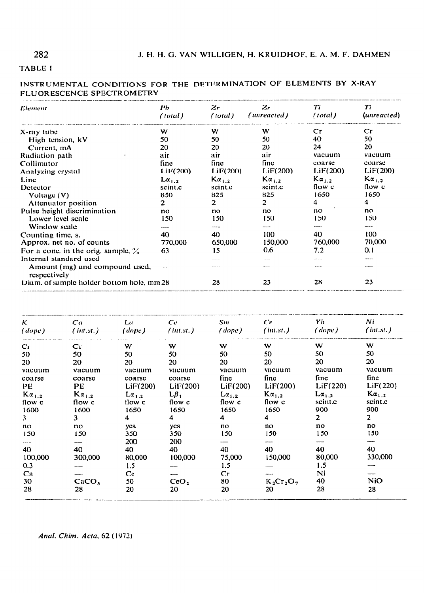# 282

# **TABLE I**

|                           |  | INSTRUMENTAL CONDITIONS FOR THE DETERMINATION OF ELEMENTS BY X-RAY |  |  |
|---------------------------|--|--------------------------------------------------------------------|--|--|
| FLUORESCENCE SPECTROMETRY |  |                                                                    |  |  |

| Element                                        | Pb              | Zr              | Zr              | Tï              | Tï            |  |
|------------------------------------------------|-----------------|-----------------|-----------------|-----------------|---------------|--|
|                                                | (total)         | (total)         | (unreacted)     | (total)         | (unreacted)   |  |
| X-ray tube                                     | W               | W               | w               | $\mathsf{Cr}$   | $\mathsf{Cr}$ |  |
| High tension, kV                               | 50              | 50              | 50              | 40              | 50            |  |
| Current, mA                                    | 20              | 20              | 20              | 24              | 20            |  |
| Radiation path                                 | air             | air             | air             | vacuum          | vacuum        |  |
| Collimator                                     | fine            | fine            | fine.           | coarse          | coarse        |  |
| Analyzing crystal                              | LiF(200)        | LiF(200)        | LiF(200)        | LiF(200)        | LiF(200)      |  |
| Line                                           | $L\alpha_{1,2}$ | $K\alpha_{1,2}$ | $K\alpha_{1,2}$ | $K\alpha_{1,2}$ | $Ka_{1,2}$    |  |
| Detector                                       | scint.c         | scint.c         | scint.c         | flow c          | flow c        |  |
| Voltage (V)                                    | 850             | 825             | 825             | 1650            | 1650          |  |
| Attenuator position                            | $\mathbf{2}$    | 2               | $\overline{2}$  | 4               | 4             |  |
| Pulse height discrimination                    | no              | no.             | no              | no              | no            |  |
| Lower level scale                              | 150             | 150             | 150             | 150             | 150           |  |
| Window scale                                   |                 |                 |                 |                 |               |  |
| Counting time, s.                              | 40              | 40              | 100             | 40              | 100           |  |
| Approx. net no. of counts                      | 770,000         | 650,000         | 150,000         | 760,000         | 70,000        |  |
| For a conc. in the orig. sample, $\%$          | 63              | 15              | 0.6             | 7.2             | 0.1           |  |
| Internal standard used                         | .               | -----           |                 | .               |               |  |
| Amount (mg) and compound used,<br>respectively | $-$             |                 |                 |                 |               |  |
| Diam. of sample holder bottom hole, mm 28      | 28              | 23              | 28              | 23              |               |  |

| K.              | Ca                                                                  | La -            | Ce               | Sm                    | Cr              | Yb.             | Ni              |
|-----------------|---------------------------------------------------------------------|-----------------|------------------|-----------------------|-----------------|-----------------|-----------------|
|                 | (dope) (int.st.) (dope) (int.st.) (dope) (int.st.) (dope) (int.st.) |                 |                  |                       |                 |                 |                 |
| Cr              | $\mathbf{C}$ r                                                      | W               | W                | W.                    | W               | W               | W               |
| 50              | 50                                                                  | 50              | 50               | 50                    | 50              | 50              | 50              |
| 20              | 20                                                                  | 20              | 20               | 20                    | 20              | 20              | 20              |
| vacuum          | vacuum                                                              | vacuum          | vacuum           | vacuum                | vacuum          | vacuum          | vacuum          |
| coarse          | coarse                                                              | coarse          | coarse           | fine                  | fine            | fine.           | fine.           |
| PE.             | PE.                                                                 | LiF(200)        |                  | $LiF(200)$ $LiF(200)$ | LiF(200)        | LiF(220)        | LiF(220)        |
| $K\alpha_{1,2}$ | $K\alpha_{1,2}$                                                     | $L\alpha_{1,2}$ | $L\beta_1$       | $L\alpha_{1,2}$       | $K\alpha_{1,2}$ | $L\alpha_{1,2}$ | $K\alpha_{1,2}$ |
| flow c          | flow c                                                              | flow c          | ilow c           | flow c                | flow c          | scint.c         | scint.c         |
| 1600            | 1600                                                                | 1650            | 1650             | 1650                  | 1650            | 900             | 900             |
| 3               | 3                                                                   | $\overline{4}$  | $\overline{4}$   | 4                     | $\overline{4}$  | 2 <sup>1</sup>  | $\overline{2}$  |
| no              | no                                                                  | yes             | yes              | no.                   | no              | no              | no              |
| 150             | 150                                                                 | 350             | 350              | 150                   | 150             | 150             | 150             |
| $\cdots$        |                                                                     | 200             | <b>200</b>       |                       |                 |                 |                 |
| 40              | 40                                                                  | 40              | 40               | 40                    | 40              | 40              | 40              |
| 100,000         | 300,000                                                             | 80,000          | 100,000          | 75,000                | 150,000         | 80,000          | 330,000         |
| 0.3             |                                                                     | 1.5             |                  | 1.5                   |                 | 1.5             |                 |
| C <sub>a</sub>  |                                                                     | $\bf{C}$        |                  | Cr                    | ------          | Ni              |                 |
| 30              | CaCO <sub>3</sub>                                                   | 50              | CeO <sub>2</sub> | 80                    | $K_2Cr_2O_7$    | 40              | NiO             |
| 28              | 28                                                                  | 20              | 20               | 20                    | 20              | 28              | 28              |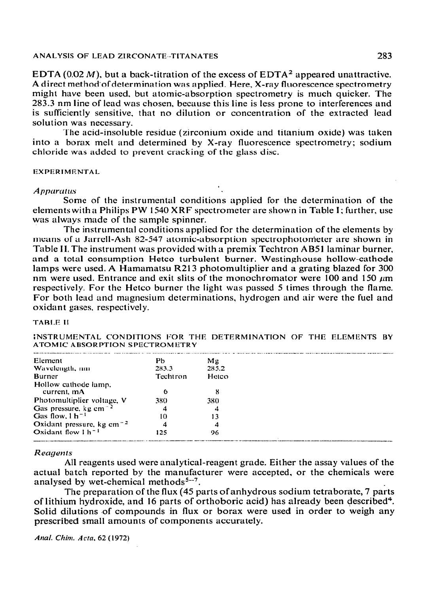# **ANALYSIS OF LEAD ZIRCONATE--TlTANATES** 283

EDTA (0.02 M), but a back-titration of the excess of EDTA<sup>2</sup> appeared unattractive. A direct method'ofdetermination was applied. Here, X-ray fluorescence spectrometry might have been used. but atomic-absorption spectrometry is much quicker. The 283.3 nm line of lead was chosen, because this line is less prone to interferences and is sufficiently sensitive, that no dilution or concentration of the extracted lead solution was necessary.

The acid-insoluble residue (zirconium oxide and titanium oxide) was taken into a borax melt and determined by X-ray fluorescence spectromctry; sodium chloride was added to prevent cracking of the glass disc.

**EXPERIMENTAL** 

#### *Apparatus*

Some of the instrumental conditions applied for the determination of the elements with a Philips PW 1540 XRF spectrometer are shown in Table I; further, use was always made of the sample spinner.

The instrumental conditions applied for the determination of the elements by means of a Jarrell-Ash 82-547 atomic-absorption spcctrophotonieter are shown in Table II. The instrument was provided with a premix Techtron **AB51** laminar burner, and a total consumption Hetco turbulent burner. Westinghouse hollow-cathode lamps were used. A Hamamatsu R213 photomultiplier and a grating blazed for 300 nm were used. Entrance and exit slits of the monochromator were 100 and 150  $\mu$ m respectively. For the Hetco burner the light was passed 5 times through the flame. For both lend and magnesium dctcrminations, hydrogen and air were the fuel and oxidant gases, respectively.

## **TABLE II**

**INSTRUMENTAL CONDITIONS FOR THE DETERMINATION OF THE ELEMENTS BY ATOMIC ABSORPTION SPECTROMETRY** 

| Element                                            | Pb       | $M_{\rm E}$ |  |
|----------------------------------------------------|----------|-------------|--|
| Wavelength, nm                                     | 283.3    | 285.2       |  |
| <b>Burner</b>                                      | Techtron | Hetco       |  |
| Hollow cathode lamp.                               |          |             |  |
| current, mA                                        | 6        | 8           |  |
| Photomultiplier voltage, V                         | 380      | 380         |  |
| Gas pressure, $kg \text{ cm}^{-2}$                 | 4        | 4           |  |
| Gas flow, $1 h^{-1}$                               | 10       | 13          |  |
| Oxidant pressure, kg cm <sup><math>-2</math></sup> | 4        | 4           |  |
| Oxidant flow $1 h^{-1}$                            | 125      | 96          |  |

#### Reagents

All reagents used were analytical-reagent grade. Either the assay values of the actual batch reported by the manufacturer were accepted, or the chemicals were analysed by wet-chemical methods<sup>5--7</sup>.

The preparation of the flux (45 parts of anhydrous sodium tetraborate, 7 parts of lithium hydroxide, and 16 parts of orthoboric acid) has already been described<sup>4</sup>. Solid dilutions of compounds in flux or borax were used in order to weigh any prescribed small amounts of components accurately.

*Anal. Chim. Acta, 62 (1972)*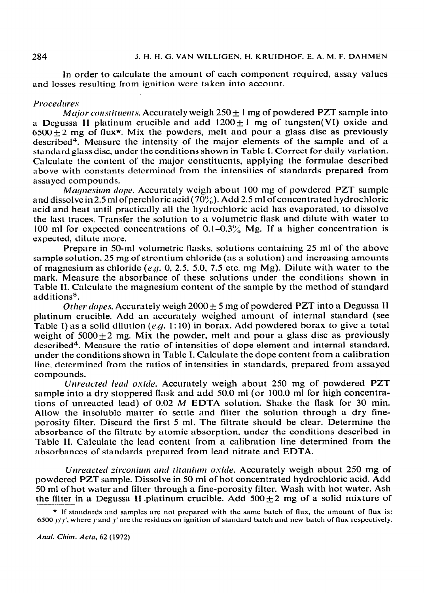#### 284 9. **J. H. H. G. VAN WILLIGEN, H. KRUIDHOF. E. A. M. F. DAHMEN**

in order *to* calculate the amount of each component reyuired, assay values and losses resulting from ignition were taken into account.

## **Procedures**

*Major constituents.* Accurately weigh 250 + 1 mg of powdered PZT sample into a Degussa II platinum crucible and add  $1200+1$  mg of tungsten(VI) oxide and  $6500+2$  mg of flux<sup>\*</sup>. Mix the powders, melt and pour a glass disc as previously described". Measure the intensity of the major elements of the sample and of a standard glass disc, under the conditions shown in Table I. Correct for daily variation. Calculate the content of the major constituents, applying the formulae described above with constants determined from the intensities of standards prepared from assayed compounds.

*Magnesium dope.* Accurately weigh about 100 mg of powdered PZT sample and dissolve in 2.5 ml of perchloric acid (70%). Add 2.5 ml of concentrated hydrochloric acid and heat until practically all the hydrochloric acid has evaporated. to dissolve the last traces, Transfer the solution to a volumetric flask and dilute with water to 100 ml for expected concentrations of 0.1–0.3% Mg. If a higher concentration is expected, dilute more.

Prepare in 50-ml volumetric flasks, solutions containing 25 ml of the above sample solution, 25 mg of strontium chloride (as a solution) and increasing amounts of magnesium as chloride (e.g. 0, 2.5, 5.0, 7.5 etc. mg Mg). Dilute with water to the mark. Measure the absorbance of these solutions under the conditions shown in Table II. Calculate the magnesium content of the sample by the method of standard additions<sup>8</sup>.

Other dopes. Accurately weigh  $2000 + 5$  mg of powdered PZT into a Degussa II platinum crucible. Add an accurately weighed amount of internal standard (see Table 1) as a solid dilution (e.g. 1:10) in borax. Add powdered borax to give a total weight of  $5000+2$  mg. Mix the powder, melt and pour a glass disc as previously described<sup>4</sup>. Measure the ratio of intensities of dope element and internal standard, under the conditions shown in Table I. Calculate the dope content from a calibration line, determined from the ratios of intensities in standards, prepared from assayed compounds.

Unreacted lead oxide. Accurately weigh about 250 mg of powdered PZT sample into a dry stoppered flask and add 50.0 ml (or 100.0 ml for high concentrations of unreacted lead) of 0.02 *M* EDTA solution. Shake. the flask for 30 min. Allow the insoluble matter to settle and filter the solution through a dry fineporosity filter. Discard the first 5 ml. The filtrate should be clear. Determine the absorbance of the filtrate by atomic absorption, under the conditions described in Table II. Calculate the lead content from a calibration line determined from the absorbances of standards prepared from lead nitrate and EDTA.

*Unreacted zirconium and titanium oxide.* Accurately weigh about 250 mg of powdered PZT sample. Dissolve in 50 ml of hot concentrated hydrochloric acid. Add 50 ml of hot water and filter through a fine-porosity filter. Wash with hot water. Ash the filter in a Degussa II platinum crucible. Add  $500\pm2$  mg of a solid mixture of

<sup>\*</sup> If standards and samples are not prepared with the same batch of flux, the amount of flux is: 6500  $y/y'$ , where y and y' are the residucs on ignition of standard batch and new batch of flux respectively.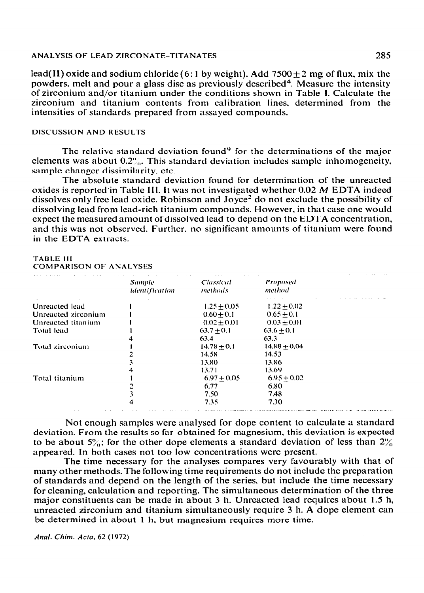#### ANALYSIS OF LEAD ZIRCONATE-TITANATES

lead(II) oxide and sodium chloride (6:1 by weight). Add  $7500 \pm 2$  mg of flux, mix the powders, melt and pour a glass disc as previously described<sup>4</sup>. Measure the intensity of zirconium and/or titanium under the conditions shown in Table I. Calculate the zirconium and titanium contents from calibration lines, determined from the intensities of standards prepared from assayed compounds.

### **DISCUSSION AND RESULTS**

The relative standard deviation found<sup>9</sup> for the determinations of the major elements was about  $0.2\%$ . This standard deviation includes sample inhomogeneity, sample changer dissimilarity, etc.

The absolute standard deviation found for determination of the unreacted oxides is reported in Table III. It was not investigated whether 0.02 M EDTA indeed dissolves only free lead oxide. Robinson and Joyce<sup>2</sup> do not exclude the possibility of dissolving lead from lead-rich titanium compounds. However, in that case one would expect the measured amount of dissolved lead to depend on the EDTA concentration, and this was not observed. Further, no significant amounts of titanium were found in the EDTA extracts.

**TABLE III COMPARISON OF ANALYSES** 

|                     | <b>Sample</b><br><i>identification</i> | Classical<br>methods | Proposed<br>method |  |
|---------------------|----------------------------------------|----------------------|--------------------|--|
| Unreacted lead      |                                        | $1.25 + 0.05$        | $1.22 + 0.02$      |  |
| Unreacted zirconium |                                        | $0.60 + 0.1$         | $0.65 \pm 0.1$     |  |
| Unreacted titanium  |                                        | $0.02 \pm 0.01$      | $0.03 + 0.01$      |  |
| <b>Total</b> lead   |                                        | $63.7 + 0.1$         | $63.6 \pm 0.1$     |  |
|                     |                                        | 63.4                 | 63.3               |  |
| Total zirconium     |                                        | $14.78 \pm 0.1$      | $14.88 \pm 0.04$   |  |
|                     |                                        | 14.58                | 14.53              |  |
|                     |                                        | 13.80                | 13.86              |  |
|                     |                                        | 13.71                | 13.69              |  |
| Total titanium      |                                        | $6.97 \pm 0.05$      | $6.95 + 0.02$      |  |
|                     |                                        | 6.77                 | 6.80               |  |
|                     |                                        | 7.50                 | 7.48               |  |
|                     |                                        | 7.35                 | 7.30               |  |

Not enough samples were analysed for dope content to calculate a standard deviation. From the results so far obtained for magnesium, this deviation is expected to be about  $5\%$ ; for the other dope elements a standard deviation of less than  $2\%$ appeared. In both cases not too low concentrations were present.

The time necessary for the analyses compares very favourably with that of many other methods. The following time requirements do not include the preparation of standards and depend on the length of the series, but include the time necessary for cleaning, calculation and reporting. The simultaneous determination of the three major constituents can be made in about 3 h. Unreacted lead requires about 1.5 h, unreacted zirconium and titanium simultaneously require 3 h. A dope element can be determined in about 1 h, but magnesium requires more time.

Anal. Chim. Acta. 62 (1972)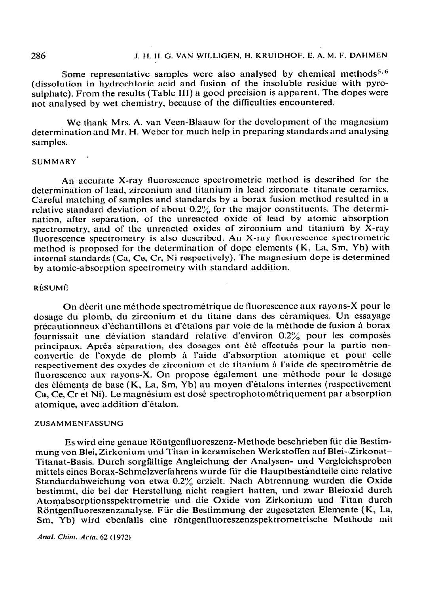#### 286 **J. H. l-1. G. VAN WILLIGEN. I-l. KKUIDHOF. E. A. M. F. DAHMEN**

Some representative samples were also analysed by chemical methods<sup>5,6</sup> (dissolution in hydrochloric acid and fusion of the insoluble residue with pyrosulphate). From the results (Table III) a good precision is apparent. The dopes were not analyscd by wet chemistry, because of the difficulties encountered.

We thank Mrs. A. van Veen-Blaauw for the development of the magnesium determination and Mr. H. Weber for much help in preparing standards and analysing samples.

#### **SUMMARY '**

An accurate X-ray fluorescence spcctrometric method is described for the determination of lead, zirconium and titanium in lead zirconate-titanate ceramics. Careful matching of samples and standards by a borax fusion method resulted in a relative standard deviation of about 0.2% for the major constituents. The determination, after separation, of the unreacted oxide of lead by atomic absorption spectrometry, and of the unreacted oxides of zirconium and titanium by X-ray fluorescence spectrometry is also described. An X-ray fluorescence spectrometric method is proposed for the determination of dope elements (K, La, Sm, Yb) with internal standards (Ca, Ce, Cr. Ni respectively). The magnesium dope is determined by atomic-absorption spcctrometry with standard addition.

# RÉSUMÉ

On décrit une méthode spectrométrique de fluorescence aux rayons-X pour le dosage du plomb, du zirconium et du titane dans des céramiques. Un essayage précautionneux d'échantillons et d'étalons par voie de la méthode de fusion à borax fournissait une déviation standard relative d'environ  $0.2\%$  pour les composés principaux. Après séparation, des dosages ont été effectués pour la partie nonconvertie de l'oxyde de plomb à l'aide d'absorption atomique et pour celle respectivement des oxydes de zirconium et de titanium à l'aide de spectrométrie de fluorescence aux rayons-X. On propose également une méthode pour le dosage des éléments de base (K, La, Sm, Yb) au moyen d'étalons internes (respectivement Ca, Ce, Cr et Ni). Le magnésium est dosé spectrophotométriquement par absorption atomique, avec addition d'étalon.

### **ZUSAMMENFASSUNG**

Es wird eine genaue Röntgenfluoreszenz-Methode beschrieben für die Bestimmung von Blei, Zirkonium und Titan in keramischen Werkstoffen auf Blei-Zirkonat-. Titanat-Basis. Durch sorgfältige Angleichung der Analysen- und Vergleichsproben mittels eines Borax-Schmelzverfahrens wurde fiir die Hauptbesthndteile eine relative Standardabweichung von etwa 0.2% erzielt. Nach Abtrennung wurden die Oxide bestimmt, die bei der Herstellung nicht reagiert hatten, und zwar Bleioxid durch Atomabsorptionsspektrometrie und die Oxide von Zirkonium und Titan durch Röntgenfluoreszenzanalyse. Für die Bestimmung der zugesetzten Elemente (K, La, Sm, Yb) wird ebenfalls eine röntgenfluoreszenzspektrometrische Methode mit